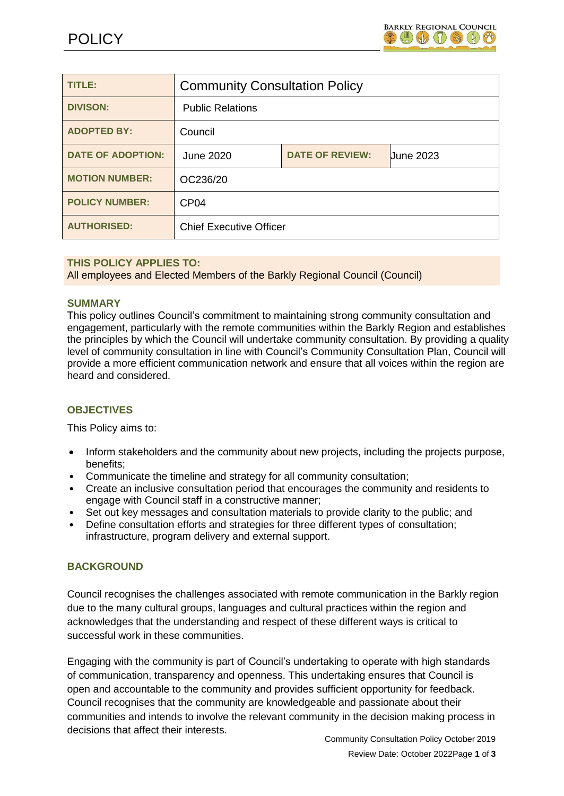

| <b>TITLE:</b>            | <b>Community Consultation Policy</b> |                        |                  |
|--------------------------|--------------------------------------|------------------------|------------------|
| <b>DIVISON:</b>          | <b>Public Relations</b>              |                        |                  |
| <b>ADOPTED BY:</b>       | Council                              |                        |                  |
| <b>DATE OF ADOPTION:</b> | June 2020                            | <b>DATE OF REVIEW:</b> | <b>June 2023</b> |
| <b>MOTION NUMBER:</b>    | OC236/20                             |                        |                  |
| <b>POLICY NUMBER:</b>    | CP <sub>04</sub>                     |                        |                  |
| <b>AUTHORISED:</b>       | <b>Chief Executive Officer</b>       |                        |                  |

### **THIS POLICY APPLIES TO:**

All employees and Elected Members of the Barkly Regional Council (Council)

#### **SUMMARY**

This policy outlines Council's commitment to maintaining strong community consultation and engagement, particularly with the remote communities within the Barkly Region and establishes the principles by which the Council will undertake community consultation. By providing a quality level of community consultation in line with Council's Community Consultation Plan, Council will provide a more efficient communication network and ensure that all voices within the region are heard and considered.

### **OBJECTIVES**

This Policy aims to:

- Inform stakeholders and the community about new projects, including the projects purpose, benefits;
- Communicate the timeline and strategy for all community consultation;
- Create an inclusive consultation period that encourages the community and residents to engage with Council staff in a constructive manner;
- Set out key messages and consultation materials to provide clarity to the public; and
- Define consultation efforts and strategies for three different types of consultation; infrastructure, program delivery and external support.

### **BACKGROUND**

Council recognises the challenges associated with remote communication in the Barkly region due to the many cultural groups, languages and cultural practices within the region and acknowledges that the understanding and respect of these different ways is critical to successful work in these communities.

Engaging with the community is part of Council's undertaking to operate with high standards of communication, transparency and openness. This undertaking ensures that Council is open and accountable to the community and provides sufficient opportunity for feedback. Council recognises that the community are knowledgeable and passionate about their communities and intends to involve the relevant community in the decision making process in decisions that affect their interests.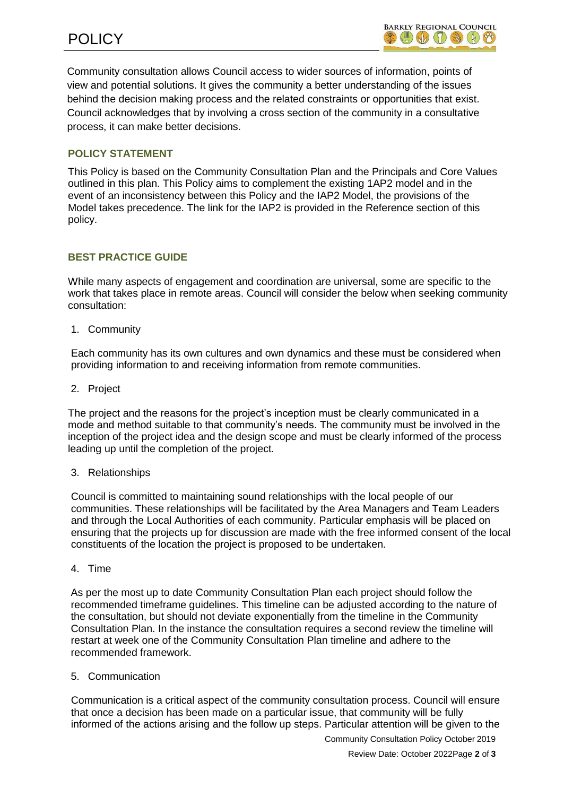Community consultation allows Council access to wider sources of information, points of view and potential solutions. It gives the community a better understanding of the issues behind the decision making process and the related constraints or opportunities that exist. Council acknowledges that by involving a cross section of the community in a consultative process, it can make better decisions.

# **POLICY STATEMENT**

This Policy is based on the Community Consultation Plan and the Principals and Core Values outlined in this plan. This Policy aims to complement the existing 1AP2 model and in the event of an inconsistency between this Policy and the IAP2 Model, the provisions of the Model takes precedence. The link for the IAP2 is provided in the Reference section of this policy.

## **BEST PRACTICE GUIDE**

While many aspects of engagement and coordination are universal, some are specific to the work that takes place in remote areas. Council will consider the below when seeking community consultation:

1. Community

Each community has its own cultures and own dynamics and these must be considered when providing information to and receiving information from remote communities.

2. Project

The project and the reasons for the project's inception must be clearly communicated in a mode and method suitable to that community's needs. The community must be involved in the inception of the project idea and the design scope and must be clearly informed of the process leading up until the completion of the project.

### 3. Relationships

Council is committed to maintaining sound relationships with the local people of our communities. These relationships will be facilitated by the Area Managers and Team Leaders and through the Local Authorities of each community. Particular emphasis will be placed on ensuring that the projects up for discussion are made with the free informed consent of the local constituents of the location the project is proposed to be undertaken.

4. Time

As per the most up to date Community Consultation Plan each project should follow the recommended timeframe guidelines. This timeline can be adjusted according to the nature of the consultation, but should not deviate exponentially from the timeline in the Community Consultation Plan. In the instance the consultation requires a second review the timeline will restart at week one of the Community Consultation Plan timeline and adhere to the recommended framework.

#### 5. Communication

Communication is a critical aspect of the community consultation process. Council will ensure that once a decision has been made on a particular issue, that community will be fully informed of the actions arising and the follow up steps. Particular attention will be given to the